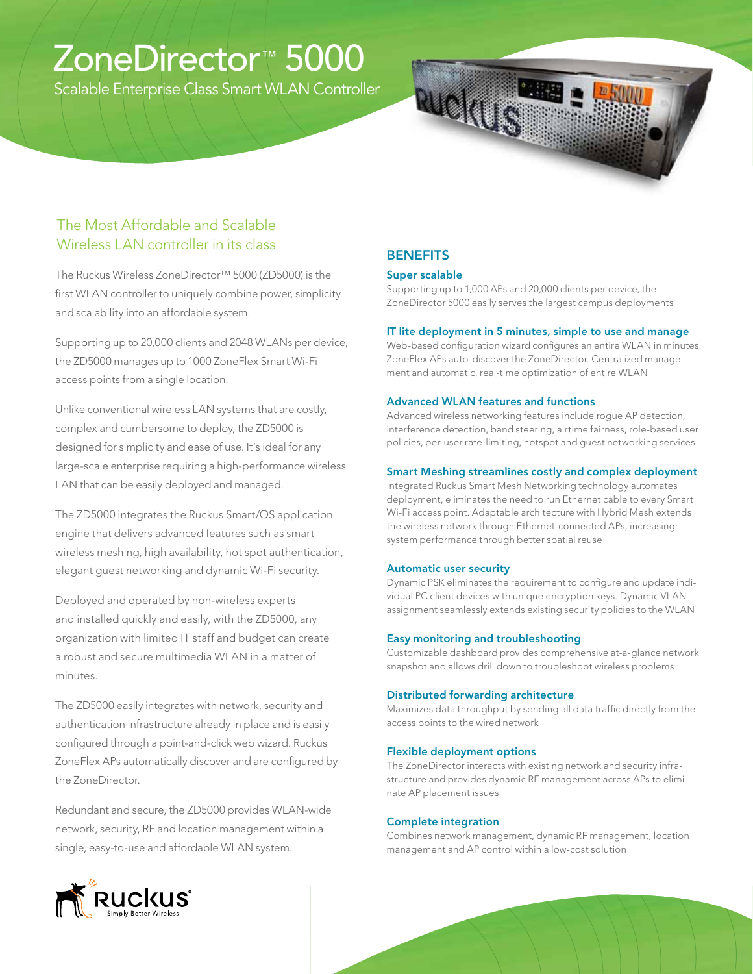# ZoneDirector™ 5000

Scalable Enterprise Class Smart WLAN Controller

# Ruela

# The Most Affordable and Scalable Wireless LAN controller in its class

The Ruckus Wireless ZoneDirector™ 5000 (ZD5000) is the first WLAN controller to uniquely combine power, simplicity and scalability into an affordable system.

Supporting up to 20,000 clients and 2048 WLANs per device, the ZD5000 manages up to 1000 ZoneFlex Smart Wi-Fi access points from a single location.

Unlike conventional wireless LAN systems that are costly, complex and cumbersome to deploy, the ZD5000 is designed for simplicity and ease of use. It's ideal for any large-scale enterprise requiring a high-performance wireless LAN that can be easily deployed and managed.

The ZD5000 integrates the Ruckus Smart/OS application engine that delivers advanced features such as smart wireless meshing, high availability, hot spot authentication, elegant guest networking and dynamic Wi-Fi security.

Deployed and operated by non-wireless experts and installed quickly and easily, with the ZD5000, any organization with limited IT staff and budget can create a robust and secure multimedia WLAN in a matter of minutes.

The ZD5000 easily integrates with network, security and authentication infrastructure already in place and is easily configured through a point-and-click web wizard. Ruckus ZoneFlex APs automatically discover and are configured by the ZoneDirector.

Redundant and secure, the ZD5000 provides WLAN-wide network, security, RF and location management within a single, easy-to-use and affordable WLAN system.

# **BENEFITS**

# Super scalable

Supporting up to 1,000 APs and 20,000 clients per device, the ZoneDirector 5000 easily serves the largest campus deployments

# IT lite deployment in 5 minutes, simple to use and manage

Web-based configuration wizard configures an entire WLAN in minutes. ZoneFlex APs auto-discover the ZoneDirector. Centralized management and automatic, real-time optimization of entire WLAN

### Advanced WLAN features and functions

Advanced wireless networking features include rogue AP detection, interference detection, band steering, airtime fairness, role-based user policies, per-user rate-limiting, hotspot and guest networking services

# Smart Meshing streamlines costly and complex deployment

Integrated Ruckus Smart Mesh Networking technology automates deployment, eliminates the need to run Ethernet cable to every Smart Wi-Fi access point. Adaptable architecture with Hybrid Mesh extends the wireless network through Ethernet-connected APs, increasing system performance through better spatial reuse

# Automatic user security

Dynamic PSK eliminates the requirement to configure and update individual PC client devices with unique encryption keys. Dynamic VLAN assignment seamlessly extends existing security policies to the WLAN

# Easy monitoring and troubleshooting

Customizable dashboard provides comprehensive at-a-glance network snapshot and allows drill down to troubleshoot wireless problems

# Distributed forwarding architecture

Maximizes data throughput by sending all data traffic directly from the access points to the wired network

# Flexible deployment options

The ZoneDirector interacts with existing network and security infrastructure and provides dynamic RF management across APs to eliminate AP placement issues

# Complete integration

Combines network management, dynamic RF management, location management and AP control within a low-cost solution

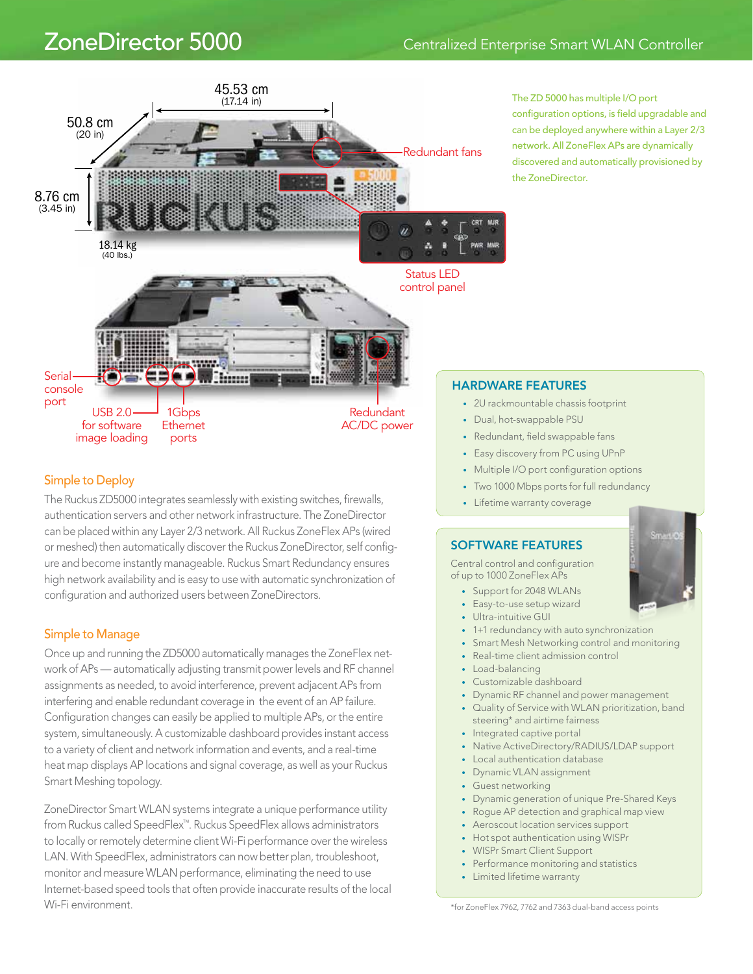# ZoneDirector 5000 Centralized Enterprise Smart WLAN Controller



The ZD 5000 has multiple I/O port configuration options, is field upgradable and can be deployed anywhere within a Layer 2/3 network. All ZoneFlex APs are dynamically discovered and automatically provisioned by the ZoneDirector.

# Simple to Deploy

The Ruckus ZD5000 integrates seamlessly with existing switches, firewalls, authentication servers and other network infrastructure. The ZoneDirector can be placed within any Layer 2/3 network. All Ruckus ZoneFlex APs (wired or meshed) then automatically discover the Ruckus ZoneDirector, self configure and become instantly manageable. Ruckus Smart Redundancy ensures high network availability and is easy to use with automatic synchronization of configuration and authorized users between ZoneDirectors.

# Simple to Manage

Once up and running the ZD5000 automatically manages the ZoneFlex network of APs — automatically adjusting transmit power levels and RF channel assignments as needed, to avoid interference, prevent adjacent APs from interfering and enable redundant coverage in the event of an AP failure. Configuration changes can easily be applied to multiple APs, or the entire system, simultaneously. A customizable dashboard provides instant access to a variety of client and network information and events, and a real-time heat map displays AP locations and signal coverage, as well as your Ruckus Smart Meshing topology.

ZoneDirector Smart WLAN systems integrate a unique performance utility from Ruckus called SpeedFlex™. Ruckus SpeedFlex allows administrators to locally or remotely determine client Wi-Fi performance over the wireless LAN. With SpeedFlex, administrators can now better plan, troubleshoot, monitor and measure WLAN performance, eliminating the need to use Internet-based speed tools that often provide inaccurate results of the local Wi-Fi environment.

# HARDWARE FEATURES

- • 2U rackmountable chassis footprint
- Dual, hot-swappable PSU
- Redundant, field swappable fans
- Easy discovery from PC using UPnP
- Multiple I/O port configuration options
- Two 1000 Mbps ports for full redundancy
- • Lifetime warranty coverage

# SOFTWARE FEATURES

Central control and configuration of up to 1000 ZoneFlex APs

- Support for 2048 WLANs
- Easy-to-use setup wizard
- Ultra-intuitive GUI
- 1+1 redundancy with auto synchronization
- Smart Mesh Networking control and monitoring
- Real-time client admission control
- Load-balancing
- Customizable dashboard
- • Dynamic RF channel and power management
- • Quality of Service with WLAN prioritization, band steering\* and airtime fairness
- Integrated captive portal
- Native ActiveDirectory/RADIUS/LDAP support
- Local authentication database
- Dynamic VLAN assignment
- Guest networking
- **Dynamic generation of unique Pre-Shared Keys**
- Rogue AP detection and graphical map view
- Aeroscout location services support
- Hot spot authentication using WISPr
- **WISPr Smart Client Support**
- Performance monitoring and statistics
- Limited lifetime warranty

\*for ZoneFlex 7962, 7762 and 7363 dual-band access points

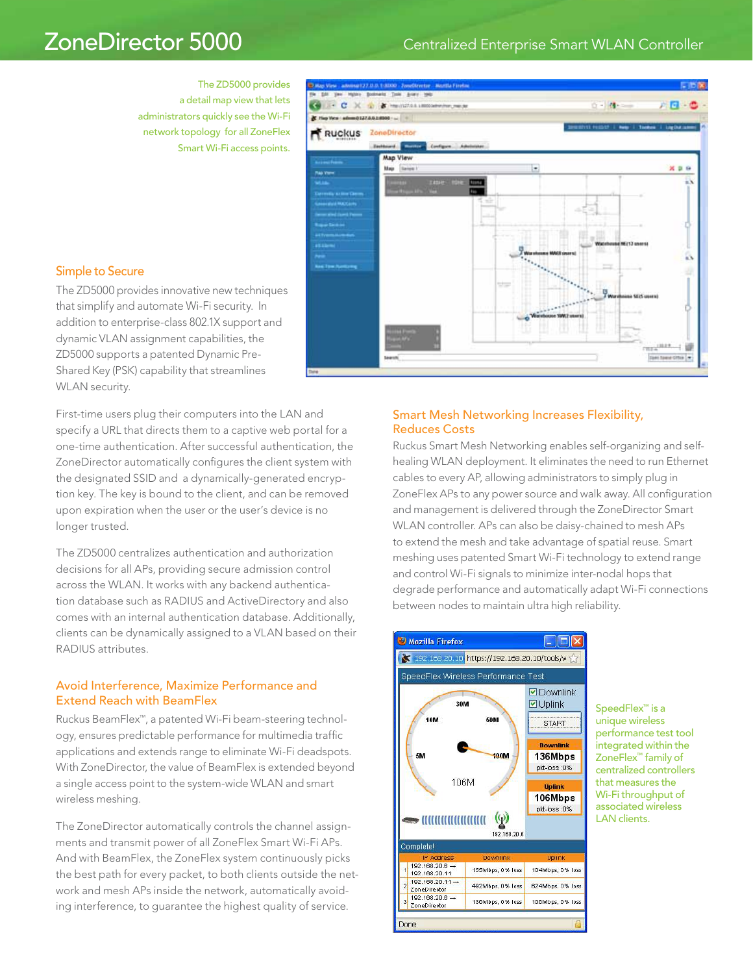# ZoneDirector 5000 Centralized Enterprise Smart WLAN Controller

The ZD5000 provides a detail map view that lets administrators quickly see the Wi-Fi network topology for all ZoneFlex Smart Wi-Fi access points.



# Simple to Secure

The ZD5000 provides innovative new techniques that simplify and automate Wi-Fi security. In addition to enterprise-class 802.1X support and dynamic VLAN assignment capabilities, the ZD5000 supports a patented Dynamic Pre-Shared Key (PSK) capability that streamlines WLAN security.

First-time users plug their computers into the LAN and specify a URL that directs them to a captive web portal for a one-time authentication. After successful authentication, the ZoneDirector automatically configures the client system with the designated SSID and a dynamically-generated encryption key. The key is bound to the client, and can be removed upon expiration when the user or the user's device is no longer trusted.

The ZD5000 centralizes authentication and authorization decisions for all APs, providing secure admission control across the WLAN. It works with any backend authentication database such as RADIUS and ActiveDirectory and also comes with an internal authentication database. Additionally, clients can be dynamically assigned to a VLAN based on their RADIUS attributes.

## Avoid Interference, Maximize Performance and Extend Reach with BeamFlex

Ruckus BeamFlex™, a patented Wi-Fi beam-steering technology, ensures predictable performance for multimedia traffic applications and extends range to eliminate Wi-Fi deadspots. With ZoneDirector, the value of BeamFlex is extended beyond a single access point to the system-wide WLAN and smart wireless meshing.

The ZoneDirector automatically controls the channel assignments and transmit power of all ZoneFlex Smart Wi-Fi APs. And with BeamFlex, the ZoneFlex system continuously picks the best path for every packet, to both clients outside the network and mesh APs inside the network, automatically avoiding interference, to guarantee the highest quality of service.

# Smart Mesh Networking Increases Flexibility, Reduces Costs

Ruckus Smart Mesh Networking enables self-organizing and selfhealing WLAN deployment. It eliminates the need to run Ethernet cables to every AP, allowing administrators to simply plug in ZoneFlex APs to any power source and walk away. All configuration and management is delivered through the ZoneDirector Smart WLAN controller. APs can also be daisy-chained to mesh APs to extend the mesh and take advantage of spatial reuse. Smart meshing uses patented Smart Wi-Fi technology to extend range and control Wi-Fi signals to minimize inter-nodal hops that degrade performance and automatically adapt Wi-Fi connections between nodes to maintain ultra high reliability.



SpeedFlex™ is a unique wireless performance test tool integrated within the ZoneFlex™ family of centralized controllers that measures the Wi-Fi throughput of associated wireless LAN clients.